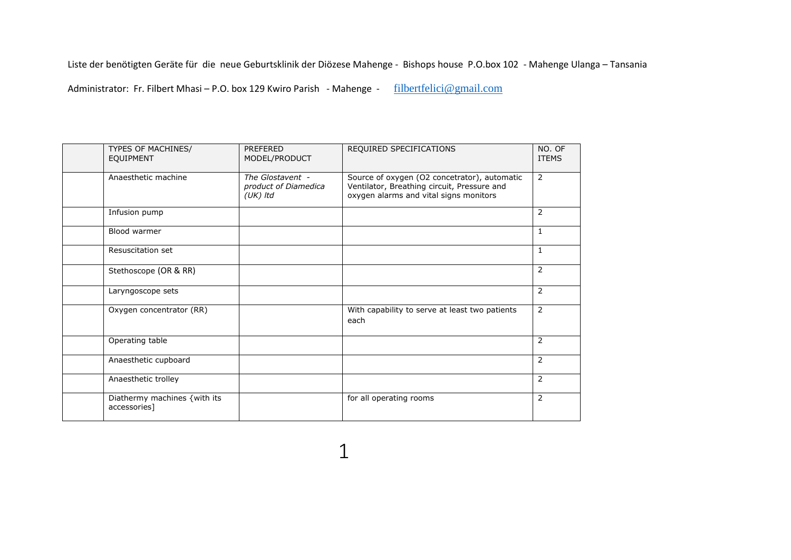Liste der benötigten Geräte für die neue Geburtsklinik der Diözese Mahenge - Bishops house P.O.box 102 - Mahenge Ulanga – Tansania

Administrator: Fr. Filbert Mhasi – P.O. box 129 Kwiro Parish - Mahenge - filbertfelici@gmail.com

| TYPES OF MACHINES/<br><b>EQUIPMENT</b>       | <b>PREFERED</b><br>MODEL/PRODUCT                       | REQUIRED SPECIFICATIONS                                                                                                               | NO. OF<br><b>ITEMS</b> |
|----------------------------------------------|--------------------------------------------------------|---------------------------------------------------------------------------------------------------------------------------------------|------------------------|
| Anaesthetic machine                          | The Glostavent -<br>product of Diamedica<br>$(UK)$ Itd | Source of oxygen (O2 concetrator), automatic<br>Ventilator, Breathing circuit, Pressure and<br>oxygen alarms and vital signs monitors | $\overline{2}$         |
| Infusion pump                                |                                                        |                                                                                                                                       | 2                      |
| Blood warmer                                 |                                                        |                                                                                                                                       | 1                      |
| Resuscitation set                            |                                                        |                                                                                                                                       | $\mathbf{1}$           |
| Stethoscope (OR & RR)                        |                                                        |                                                                                                                                       | 2                      |
| Laryngoscope sets                            |                                                        |                                                                                                                                       | 2                      |
| Oxygen concentrator (RR)                     |                                                        | With capability to serve at least two patients<br>each                                                                                | 2                      |
| Operating table                              |                                                        |                                                                                                                                       | 2                      |
| Anaesthetic cupboard                         |                                                        |                                                                                                                                       | 2                      |
| Anaesthetic trolley                          |                                                        |                                                                                                                                       | 2                      |
| Diathermy machines {with its<br>accessories] |                                                        | for all operating rooms                                                                                                               | 2                      |

1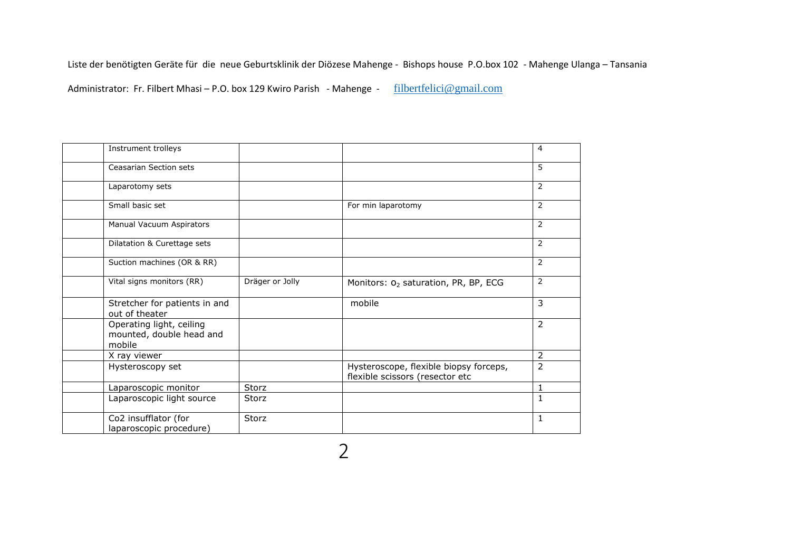Liste der benötigten Geräte für die neue Geburtsklinik der Diözese Mahenge - Bishops house P.O.box 102 - Mahenge Ulanga – Tansania

Administrator: Fr. Filbert Mhasi – P.O. box 129 Kwiro Parish - Mahenge - filbertfelici@gmail.com

| Instrument trolleys                                            |                 |                                                                           | 4              |
|----------------------------------------------------------------|-----------------|---------------------------------------------------------------------------|----------------|
| <b>Ceasarian Section sets</b>                                  |                 |                                                                           | 5              |
| Laparotomy sets                                                |                 |                                                                           | $\overline{2}$ |
| Small basic set                                                |                 | For min laparotomy                                                        | $\overline{2}$ |
| Manual Vacuum Aspirators                                       |                 |                                                                           | $\overline{2}$ |
| Dilatation & Curettage sets                                    |                 |                                                                           | $\overline{2}$ |
| Suction machines (OR & RR)                                     |                 |                                                                           | 2              |
| Vital signs monitors (RR)                                      | Dräger or Jolly | Monitors: O <sub>2</sub> saturation, PR, BP, ECG                          | $\overline{2}$ |
| Stretcher for patients in and<br>out of theater                |                 | mobile                                                                    | $\overline{3}$ |
| Operating light, ceiling<br>mounted, double head and<br>mobile |                 |                                                                           | 2              |
| X ray viewer                                                   |                 |                                                                           | $\overline{2}$ |
| Hysteroscopy set                                               |                 | Hysteroscope, flexible biopsy forceps,<br>flexible scissors (resector etc | $\overline{2}$ |
| Laparoscopic monitor                                           | Storz           |                                                                           | $\mathbf{1}$   |
| Laparoscopic light source                                      | Storz           |                                                                           | $\mathbf{1}$   |
| Co2 insufflator (for<br>laparoscopic procedure)                | Storz           |                                                                           | $\mathbf{1}$   |

2